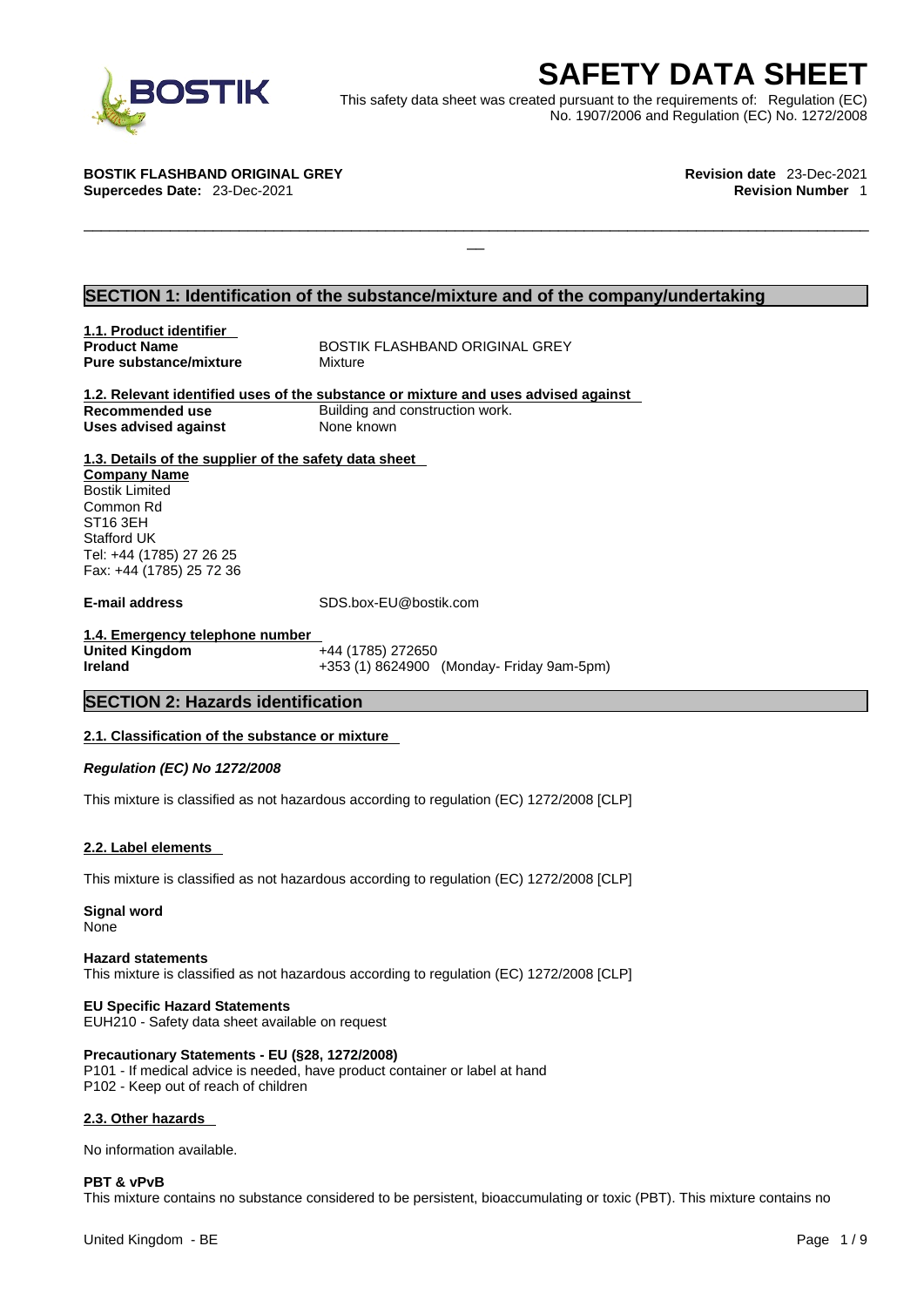

EXECRETY DATA SHEET<br>
Et was created pursuant to the requirements of: Regulation (EC)<br>
No. 1907/2006 and Regulation (EC) No. 1272/2008<br>
Revision date 23-Dec-2021<br>
Revision Number 1 This safety data sheet was created pursuant to the requirements of: Regulation (EC) No. 1907/2006 and Regulation (EC) No. 1272/2008

 $\Box$ 

**BOSTIK FLASHBAND ORIGINAL GREY Revision date** 23-Dec-2021 **Supercedes Date:** 23-Dec-2021 **Revision Number** 1

# **SECTION 1: Identification of the substance/mixture and of the company/undertaking**

**1.1. Product identifier Pure substance/mixture Mixture** 

**Product Name** BOSTIK FLASHBAND ORIGINAL GREY

**1.2. Relevant identified uses of the substance or mixture and uses advised against Recommended use** Building and construction work. **Uses advised against** None known

**1.3. Details of the supplier of the safety data sheet Company Name** Bostik Limited Common Rd ST16 3EH Stafford UK Tel: +44 (1785) 27 26 25 Fax: +44 (1785) 25 72 36

**E-mail address** SDS.box-EU@bostik.com

**1.4. Emergency telephone number United Kingdom** +44 (1785) 272650 **Ireland** +353 (1) 8624900 (Monday- Friday 9am-5pm)

# **SECTION 2: Hazards identification**

## **2.1. Classification of the substance or mixture**

*Regulation (EC) No 1272/2008* 

This mixture is classified as not hazardous according to regulation (EC) 1272/2008 [CLP]

## **2.2. Label elements**

This mixture is classified as not hazardous according to regulation (EC) 1272/2008 [CLP]

**Signal word** None

**Hazard statements** This mixture is classified as not hazardous according to regulation (EC) 1272/2008 [CLP]

# **EU Specific Hazard Statements**

EUH210 - Safety data sheet available on request

# **Precautionary Statements - EU (§28, 1272/2008)**

P101 - If medical advice is needed, have product container or label at hand P102 - Keep out of reach of children

## **2.3. Other hazards**

No information available.

## **PBT & vPvB**

This mixture contains no substance considered to be persistent, bioaccumulating or toxic (PBT). This mixture contains no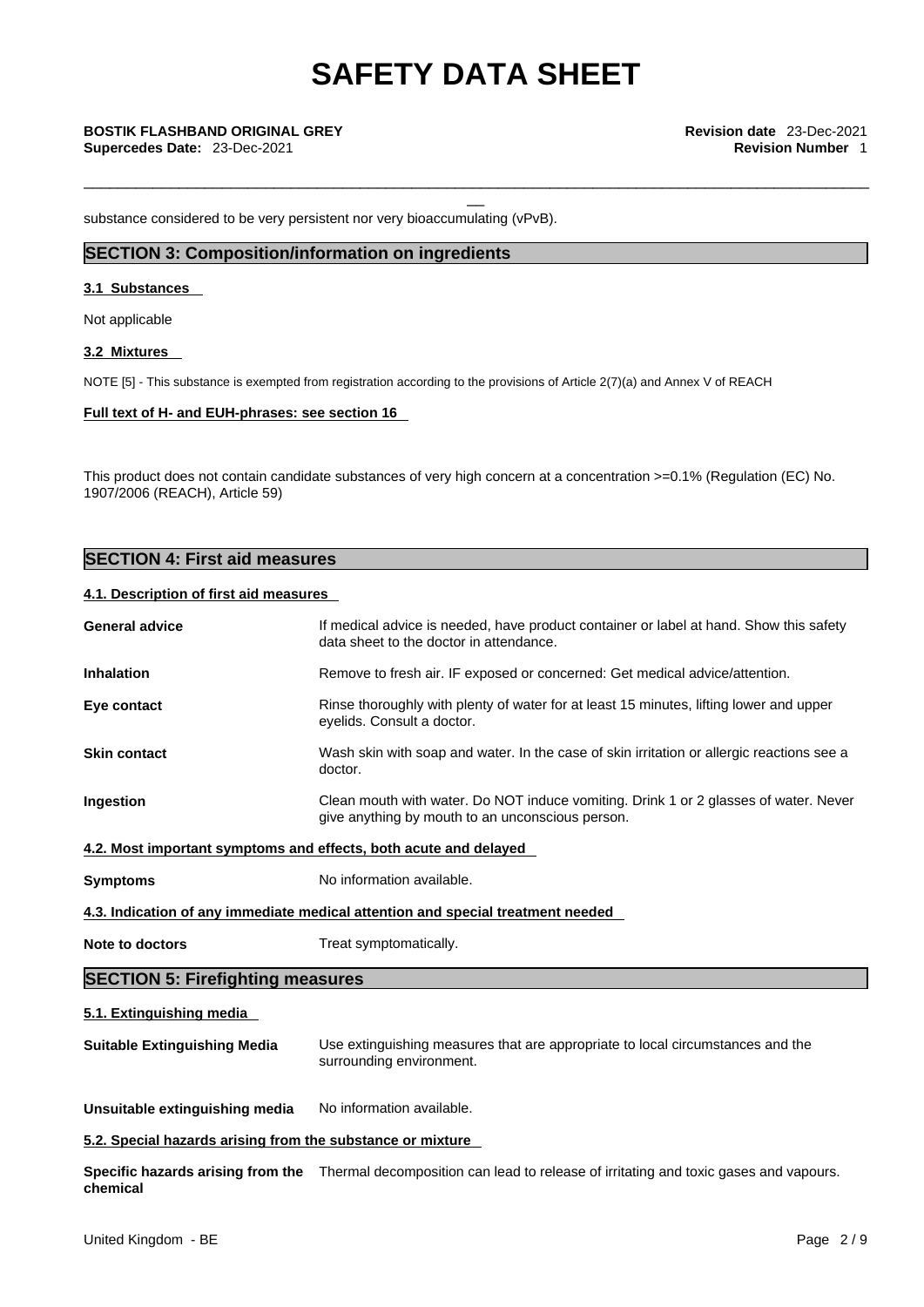\_\_\_\_\_\_\_\_\_\_\_\_\_\_\_\_\_\_\_\_\_\_\_\_\_\_\_\_\_\_\_\_\_\_\_\_\_\_\_\_\_\_\_\_\_\_\_\_\_\_\_\_\_\_\_\_\_\_\_\_\_\_\_\_\_\_\_\_\_\_\_\_\_\_\_\_\_\_\_\_\_\_\_\_\_\_\_\_\_\_\_

substance considered to be very persistent nor very bioaccumulating (vPvB).

# **SECTION 3: Composition/information on ingredients**

### **3.1 Substances**

Not applicable

#### **3.2 Mixtures**

NOTE [5] - This substance is exempted from registration according to the provisions of Article 2(7)(a) and Annex V of REACH

## **Full text of H- and EUH-phrases: see section 16**

This product does not contain candidate substances of very high concern at a concentration >=0.1% (Regulation (EC) No. 1907/2006 (REACH), Article 59)

# **SECTION 4: First aid measures**

# **4.1. Description of first aid measures**

| <b>General advice</b>                   | If medical advice is needed, have product container or label at hand. Show this safety<br>data sheet to the doctor in attendance.        |  |  |
|-----------------------------------------|------------------------------------------------------------------------------------------------------------------------------------------|--|--|
| <b>Inhalation</b>                       | Remove to fresh air. IF exposed or concerned: Get medical advice/attention.                                                              |  |  |
| Eye contact                             | Rinse thoroughly with plenty of water for at least 15 minutes, lifting lower and upper<br>eyelids. Consult a doctor.                     |  |  |
| <b>Skin contact</b>                     | Wash skin with soap and water. In the case of skin irritation or allergic reactions see a<br>doctor.                                     |  |  |
| Ingestion                               | Clean mouth with water. Do NOT induce vomiting. Drink 1 or 2 glasses of water. Never<br>give anything by mouth to an unconscious person. |  |  |
|                                         | 4.2. Most important symptoms and effects, both acute and delayed                                                                         |  |  |
| <b>Symptoms</b>                         | No information available.                                                                                                                |  |  |
|                                         | 4.3. Indication of any immediate medical attention and special treatment needed                                                          |  |  |
| Note to doctors                         | Treat symptomatically.                                                                                                                   |  |  |
| <b>SECTION 5: Firefighting measures</b> |                                                                                                                                          |  |  |
| 5.1. Extinguishing media                |                                                                                                                                          |  |  |
| <b>Suitable Extinguishing Media</b>     | Use extinguishing measures that are appropriate to local circumstances and the<br>surrounding environment.                               |  |  |
| Unsuitable extinguishing media          | No information available.                                                                                                                |  |  |
|                                         |                                                                                                                                          |  |  |

**5.2. Special hazards arising from the substance or mixture**

**Specific hazards arising from the** Thermal decomposition can lead to release of irritating and toxic gases and vapours. **chemical**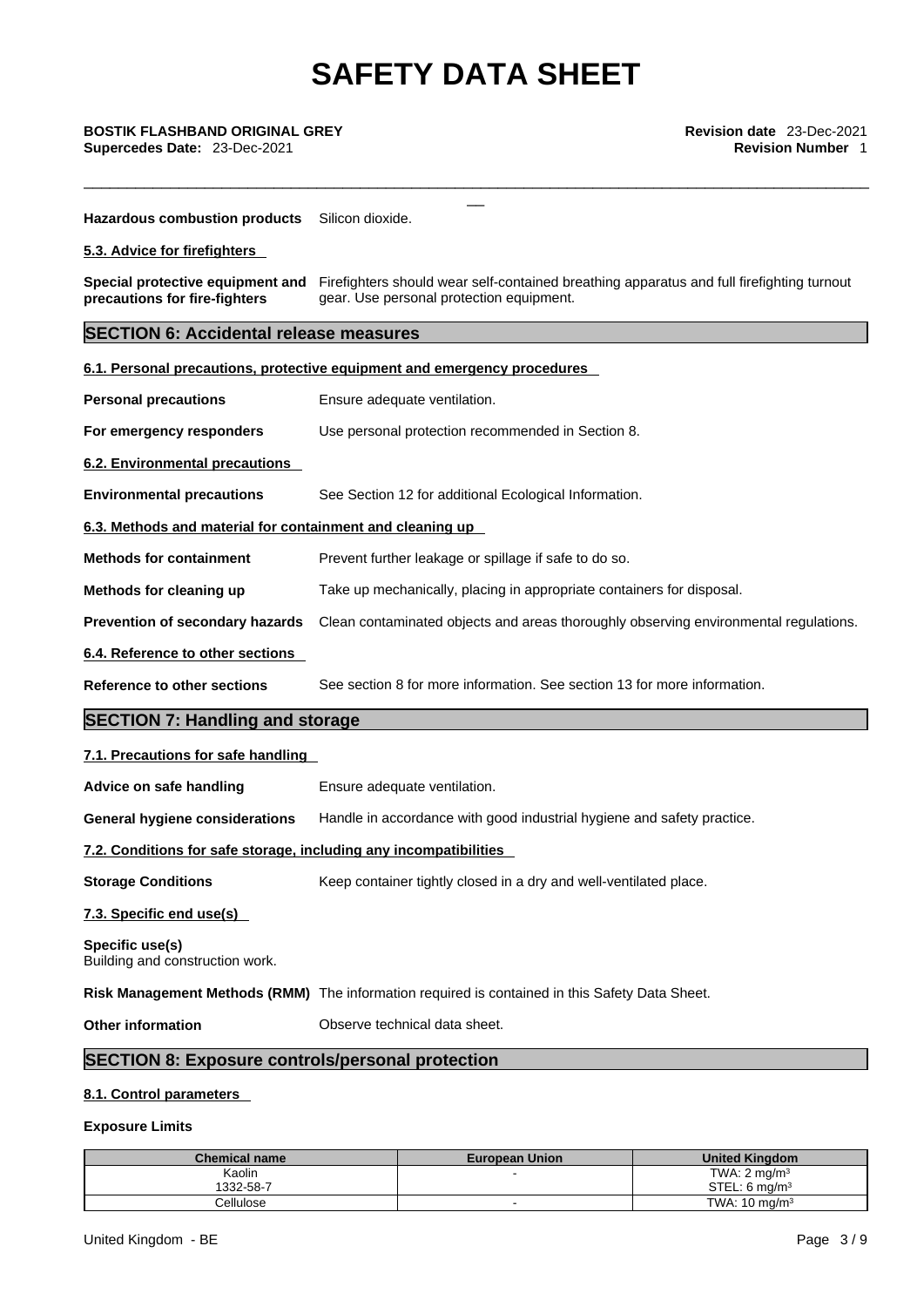\_\_\_\_\_\_\_\_\_\_\_\_\_\_\_\_\_\_\_\_\_\_\_\_\_\_\_\_\_\_\_\_\_\_\_\_\_\_\_\_\_\_\_\_\_\_\_\_\_\_\_\_\_\_\_\_\_\_\_\_\_\_\_\_\_\_\_\_\_\_\_\_\_\_\_\_\_\_\_\_\_\_\_\_\_\_\_\_\_\_\_

\_\_ **BOSTIK FLASHBAND ORIGINAL GREY Revision date** 23-Dec-2021 **Supercedes Date:** 23-Dec-2021 **Revision Number** 1

**Hazardous combustion products** Silicon dioxide.

**5.3. Advice for firefighters** 

**Special protective equipment and** Firefighters should wear self-contained breathing apparatus and full firefighting turnout **precautions for fire-fighters** gear. Use personal protection equipment.

# **SECTION 6: Accidental release measures**

|                                                                   | 6.1. Personal precautions, protective equipment and emergency procedures                       |  |  |
|-------------------------------------------------------------------|------------------------------------------------------------------------------------------------|--|--|
| <b>Personal precautions</b>                                       | Ensure adequate ventilation.                                                                   |  |  |
| For emergency responders                                          | Use personal protection recommended in Section 8.                                              |  |  |
| 6.2. Environmental precautions                                    |                                                                                                |  |  |
| <b>Environmental precautions</b>                                  | See Section 12 for additional Ecological Information.                                          |  |  |
| 6.3. Methods and material for containment and cleaning up         |                                                                                                |  |  |
| <b>Methods for containment</b>                                    | Prevent further leakage or spillage if safe to do so.                                          |  |  |
| Methods for cleaning up                                           | Take up mechanically, placing in appropriate containers for disposal.                          |  |  |
| Prevention of secondary hazards                                   | Clean contaminated objects and areas thoroughly observing environmental regulations.           |  |  |
| 6.4. Reference to other sections                                  |                                                                                                |  |  |
| <b>Reference to other sections</b>                                | See section 8 for more information. See section 13 for more information.                       |  |  |
| <b>SECTION 7: Handling and storage</b>                            |                                                                                                |  |  |
| 7.1. Precautions for safe handling                                |                                                                                                |  |  |
| Advice on safe handling                                           | Ensure adequate ventilation.                                                                   |  |  |
| <b>General hygiene considerations</b>                             | Handle in accordance with good industrial hygiene and safety practice.                         |  |  |
| 7.2. Conditions for safe storage, including any incompatibilities |                                                                                                |  |  |
| <b>Storage Conditions</b>                                         | Keep container tightly closed in a dry and well-ventilated place.                              |  |  |
| 7.3. Specific end use(s)                                          |                                                                                                |  |  |
| Specific use(s)<br>Building and construction work.                |                                                                                                |  |  |
|                                                                   | Risk Management Methods (RMM) The information required is contained in this Safety Data Sheet. |  |  |
| <b>Other information</b>                                          | Observe technical data sheet.                                                                  |  |  |
|                                                                   | <b>SECTION 8: Exposure controls/personal protection</b>                                        |  |  |

# **8.1. Control parameters**

# **Exposure Limits**

| Chemical name    | <b>European Union</b> | <b>United Kinadom</b>     |
|------------------|-----------------------|---------------------------|
| Kaolin           |                       | TWA: $2 \text{ mg/m}^3$   |
| 1332-58-7        |                       | STEL: 6 ma/m <sup>3</sup> |
| <b>Cellulose</b> |                       | TWA: $10 \text{ ma/m}^3$  |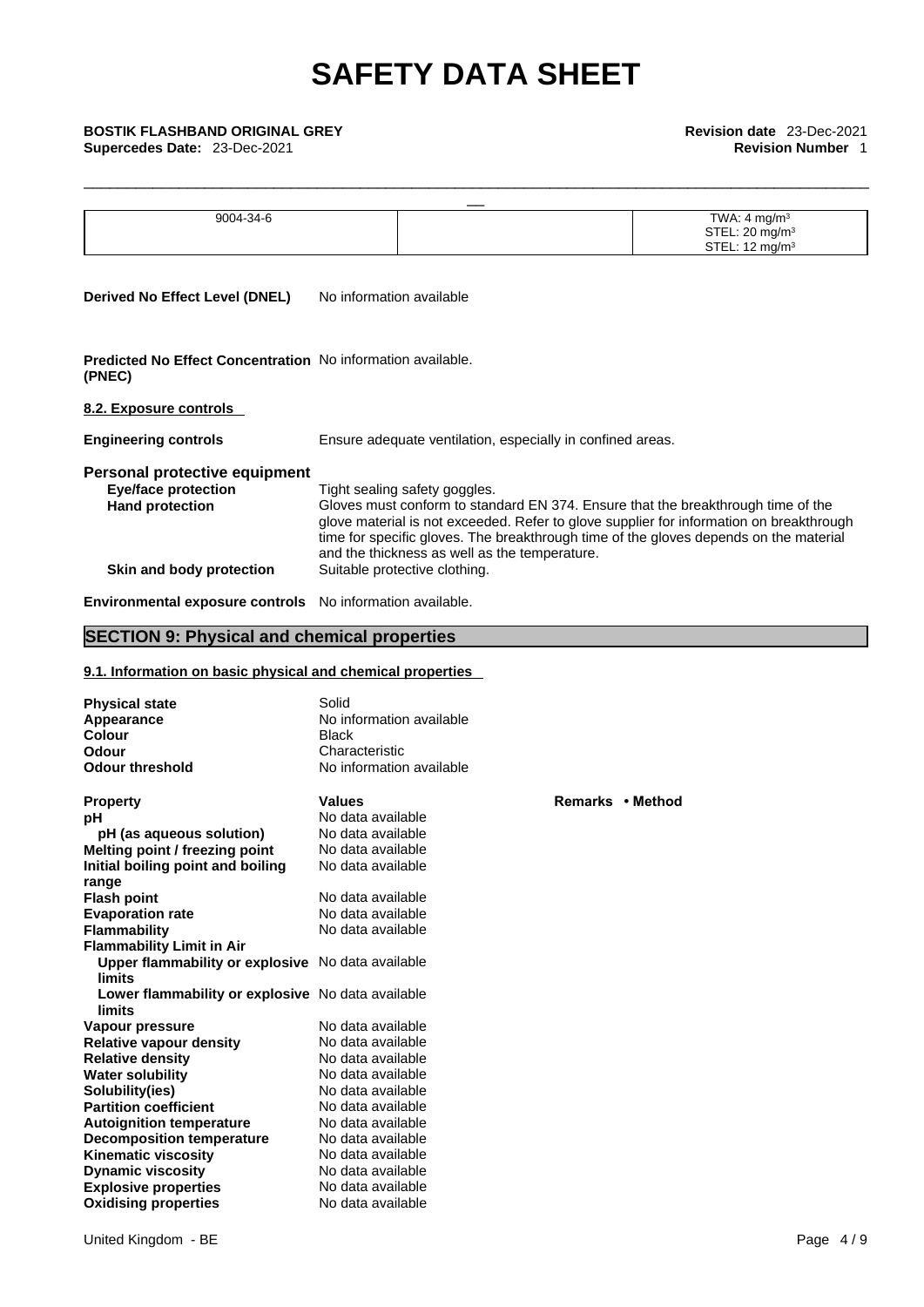| <b>BOSTIK FLASHBAND ORIGINAL GREY</b><br>Supercedes Date: 23-Dec-2021                 |                                                                                                                                                                                                                                                                                                                                                        | Revision date 23-Dec-2021<br><b>Revision Number 1</b>                               |
|---------------------------------------------------------------------------------------|--------------------------------------------------------------------------------------------------------------------------------------------------------------------------------------------------------------------------------------------------------------------------------------------------------------------------------------------------------|-------------------------------------------------------------------------------------|
|                                                                                       |                                                                                                                                                                                                                                                                                                                                                        |                                                                                     |
| 9004-34-6                                                                             |                                                                                                                                                                                                                                                                                                                                                        | TWA: $4 \text{ mg/m}^3$<br>STEL: 20 mg/m <sup>3</sup><br>STEL: 12 mg/m <sup>3</sup> |
| <b>Derived No Effect Level (DNEL)</b>                                                 | No information available                                                                                                                                                                                                                                                                                                                               |                                                                                     |
| <b>Predicted No Effect Concentration</b> No information available.<br>(PNEC)          |                                                                                                                                                                                                                                                                                                                                                        |                                                                                     |
| 8.2. Exposure controls                                                                |                                                                                                                                                                                                                                                                                                                                                        |                                                                                     |
| <b>Engineering controls</b>                                                           | Ensure adequate ventilation, especially in confined areas.                                                                                                                                                                                                                                                                                             |                                                                                     |
| Personal protective equipment<br><b>Eye/face protection</b><br><b>Hand protection</b> | Tight sealing safety goggles.<br>Gloves must conform to standard EN 374. Ensure that the breakthrough time of the<br>glove material is not exceeded. Refer to glove supplier for information on breakthrough<br>time for specific gloves. The breakthrough time of the gloves depends on the material<br>and the thickness as well as the temperature. |                                                                                     |
| Skin and body protection                                                              | Suitable protective clothing.                                                                                                                                                                                                                                                                                                                          |                                                                                     |
| Environmental exposure controls No information available.                             |                                                                                                                                                                                                                                                                                                                                                        |                                                                                     |

# **SECTION 9: Physical and chemical properties**

# **9.1. Information on basic physical and chemical properties**

| <b>Physical state</b><br>Appearance<br><b>Colour</b><br><b>Odour</b><br><b>Odour threshold</b> | Solid<br>No information available<br><b>Black</b><br>Characteristic<br>No information available |                  |
|------------------------------------------------------------------------------------------------|-------------------------------------------------------------------------------------------------|------------------|
| <b>Property</b>                                                                                | <b>Values</b>                                                                                   | Remarks • Method |
| рH                                                                                             | No data available                                                                               |                  |
| pH (as aqueous solution)                                                                       | No data available                                                                               |                  |
| Melting point / freezing point                                                                 | No data available                                                                               |                  |
| Initial boiling point and boiling                                                              | No data available                                                                               |                  |
| range                                                                                          |                                                                                                 |                  |
| <b>Flash point</b>                                                                             | No data available                                                                               |                  |
| <b>Evaporation rate</b>                                                                        | No data available                                                                               |                  |
| <b>Flammability</b>                                                                            | No data available                                                                               |                  |
| <b>Flammability Limit in Air</b>                                                               |                                                                                                 |                  |
| Upper flammability or explosive No data available<br>limits                                    |                                                                                                 |                  |
| Lower flammability or explosive No data available<br>limits                                    |                                                                                                 |                  |
| Vapour pressure                                                                                | No data available                                                                               |                  |
| <b>Relative vapour density</b>                                                                 | No data available                                                                               |                  |
| <b>Relative density</b>                                                                        | No data available                                                                               |                  |
| <b>Water solubility</b>                                                                        | No data available                                                                               |                  |
| Solubility(ies)                                                                                | No data available                                                                               |                  |
| <b>Partition coefficient</b>                                                                   | No data available                                                                               |                  |
| <b>Autoignition temperature</b>                                                                | No data available                                                                               |                  |
| <b>Decomposition temperature</b>                                                               | No data available                                                                               |                  |
| <b>Kinematic viscosity</b>                                                                     | No data available                                                                               |                  |
| <b>Dynamic viscosity</b>                                                                       | No data available                                                                               |                  |
| <b>Explosive properties</b>                                                                    | No data available                                                                               |                  |
| <b>Oxidising properties</b>                                                                    | No data available                                                                               |                  |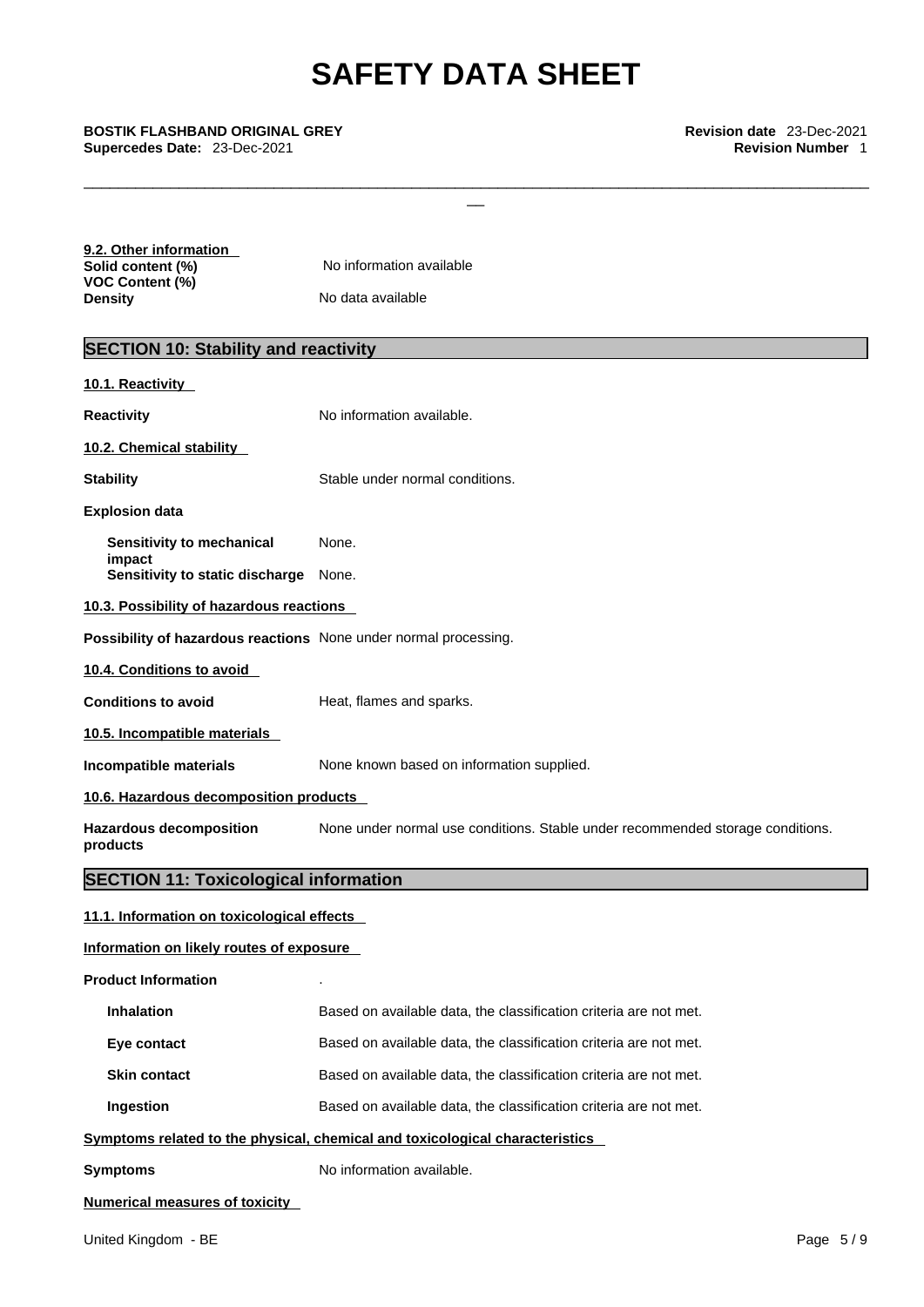\_\_\_\_\_\_\_\_\_\_\_\_\_\_\_\_\_\_\_\_\_\_\_\_\_\_\_\_\_\_\_\_\_\_\_\_\_\_\_\_\_\_\_\_\_\_\_\_\_\_\_\_\_\_\_\_\_\_\_\_\_\_\_\_\_\_\_\_\_\_\_\_\_\_\_\_\_\_\_\_\_\_\_\_\_\_\_\_\_\_\_

| 9.2. Other information |                          |  |
|------------------------|--------------------------|--|
| Solid content (%)      | No information available |  |
| VOC Content (%)        |                          |  |
| Density                | No data available        |  |

# **SECTION 10: Stability and reactivity**

| 10.1. Reactivity                                                 |                                                                                |  |  |
|------------------------------------------------------------------|--------------------------------------------------------------------------------|--|--|
| <b>Reactivity</b>                                                | No information available.                                                      |  |  |
| 10.2. Chemical stability                                         |                                                                                |  |  |
| <b>Stability</b>                                                 | Stable under normal conditions.                                                |  |  |
| <b>Explosion data</b>                                            |                                                                                |  |  |
| Sensitivity to mechanical                                        | None.                                                                          |  |  |
| impact<br>Sensitivity to static discharge None.                  |                                                                                |  |  |
| 10.3. Possibility of hazardous reactions                         |                                                                                |  |  |
| Possibility of hazardous reactions None under normal processing. |                                                                                |  |  |
| 10.4. Conditions to avoid                                        |                                                                                |  |  |
| <b>Conditions to avoid</b>                                       | Heat, flames and sparks.                                                       |  |  |
| 10.5. Incompatible materials                                     |                                                                                |  |  |
| Incompatible materials                                           | None known based on information supplied.                                      |  |  |
| 10.6. Hazardous decomposition products                           |                                                                                |  |  |
| <b>Hazardous decomposition</b><br>products                       | None under normal use conditions. Stable under recommended storage conditions. |  |  |
| <b>SECTION 11: Toxicological information</b>                     |                                                                                |  |  |
| 11.1. Information on toxicological effects                       |                                                                                |  |  |
| Information on likely routes of exposure                         |                                                                                |  |  |
| <b>Product Information</b>                                       |                                                                                |  |  |
| <b>Inhalation</b>                                                | Based on available data, the classification criteria are not met.              |  |  |
| Eye contact                                                      | Based on available data, the classification criteria are not met.              |  |  |
| <b>Skin contact</b>                                              | Based on available data, the classification criteria are not met.              |  |  |
|                                                                  |                                                                                |  |  |

**Ingestion Based on available data, the classification criteria are not met.** 

# **<u>Symptoms related to the physical, chemical and toxicological characteristics</u>**

| Symptoms | No information available. |
|----------|---------------------------|
|          |                           |

# **Numerical measures of toxicity**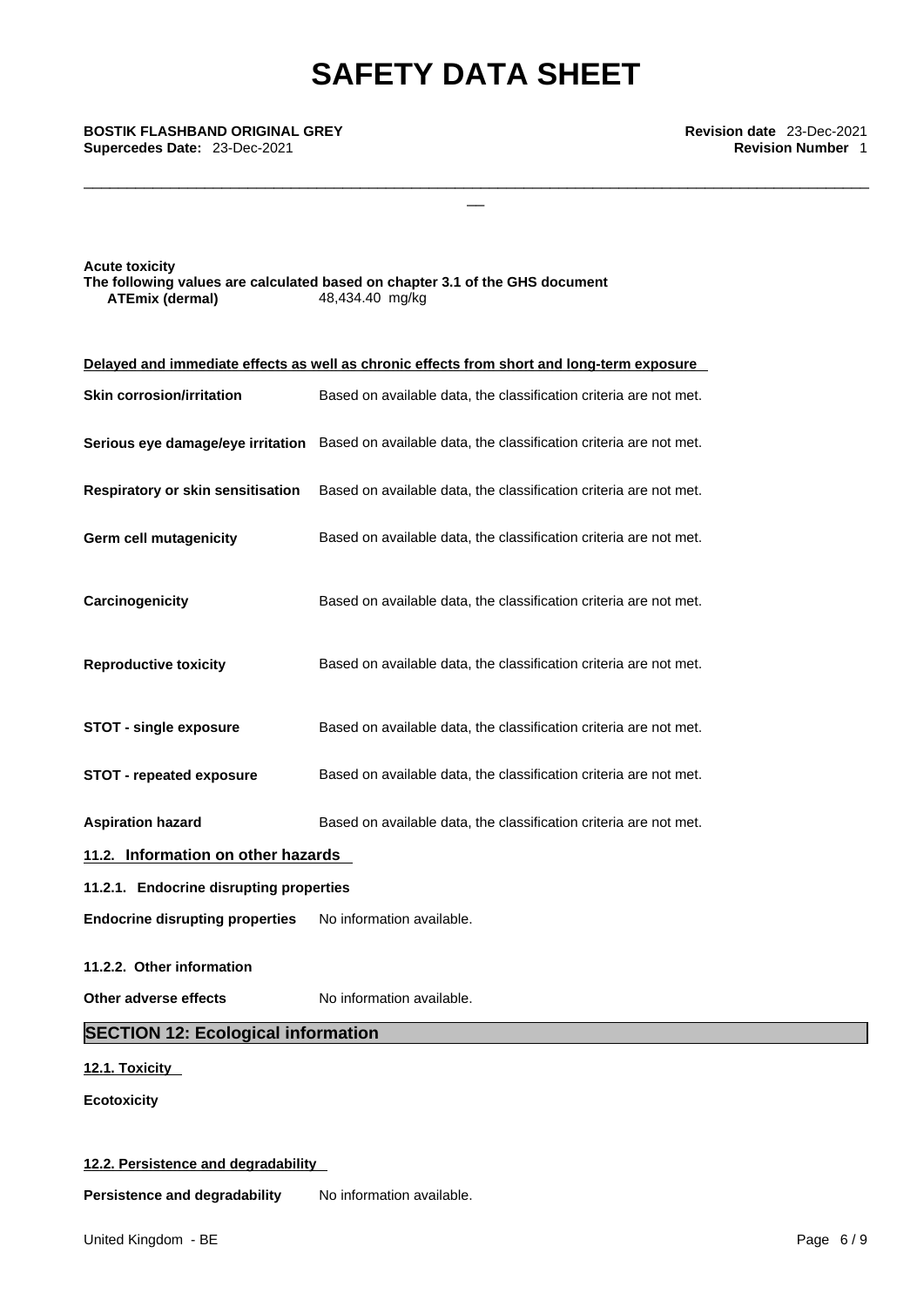\_\_\_\_\_\_\_\_\_\_\_\_\_\_\_\_\_\_\_\_\_\_\_\_\_\_\_\_\_\_\_\_\_\_\_\_\_\_\_\_\_\_\_\_\_\_\_\_\_\_\_\_\_\_\_\_\_\_\_\_\_\_\_\_\_\_\_\_\_\_\_\_\_\_\_\_\_\_\_\_\_\_\_\_\_\_\_\_\_\_\_

\_\_ **BOSTIK FLASHBAND ORIGINAL GREY Revision date** 23-Dec-2021 **Supercedes Date:** 23-Dec-2021 **Revision Number** 1

**Acute toxicity The following values are calculated based on chapter 3.1 of the GHS document ATEmix (dermal)**48,434.40 mg/kg

|                                           | Delayed and immediate effects as well as chronic effects from short and long-term exposure |
|-------------------------------------------|--------------------------------------------------------------------------------------------|
| <b>Skin corrosion/irritation</b>          | Based on available data, the classification criteria are not met.                          |
| Serious eye damage/eye irritation         | Based on available data, the classification criteria are not met.                          |
| Respiratory or skin sensitisation         | Based on available data, the classification criteria are not met.                          |
| Germ cell mutagenicity                    | Based on available data, the classification criteria are not met.                          |
| Carcinogenicity                           | Based on available data, the classification criteria are not met.                          |
| <b>Reproductive toxicity</b>              | Based on available data, the classification criteria are not met.                          |
| <b>STOT - single exposure</b>             | Based on available data, the classification criteria are not met.                          |
| <b>STOT - repeated exposure</b>           | Based on available data, the classification criteria are not met.                          |
| <b>Aspiration hazard</b>                  | Based on available data, the classification criteria are not met.                          |
| 11.2. Information on other hazards        |                                                                                            |
| 11.2.1. Endocrine disrupting properties   |                                                                                            |
| <b>Endocrine disrupting properties</b>    | No information available.                                                                  |
| 11.2.2. Other information                 |                                                                                            |
| Other adverse effects                     | No information available.                                                                  |
| <b>SECTION 12: Ecological information</b> |                                                                                            |
| 12.1. Toxicity                            |                                                                                            |
| <b>Ecotoxicity</b>                        |                                                                                            |

# **12.2. Persistence and degradability**

**Persistence and degradability** No information available.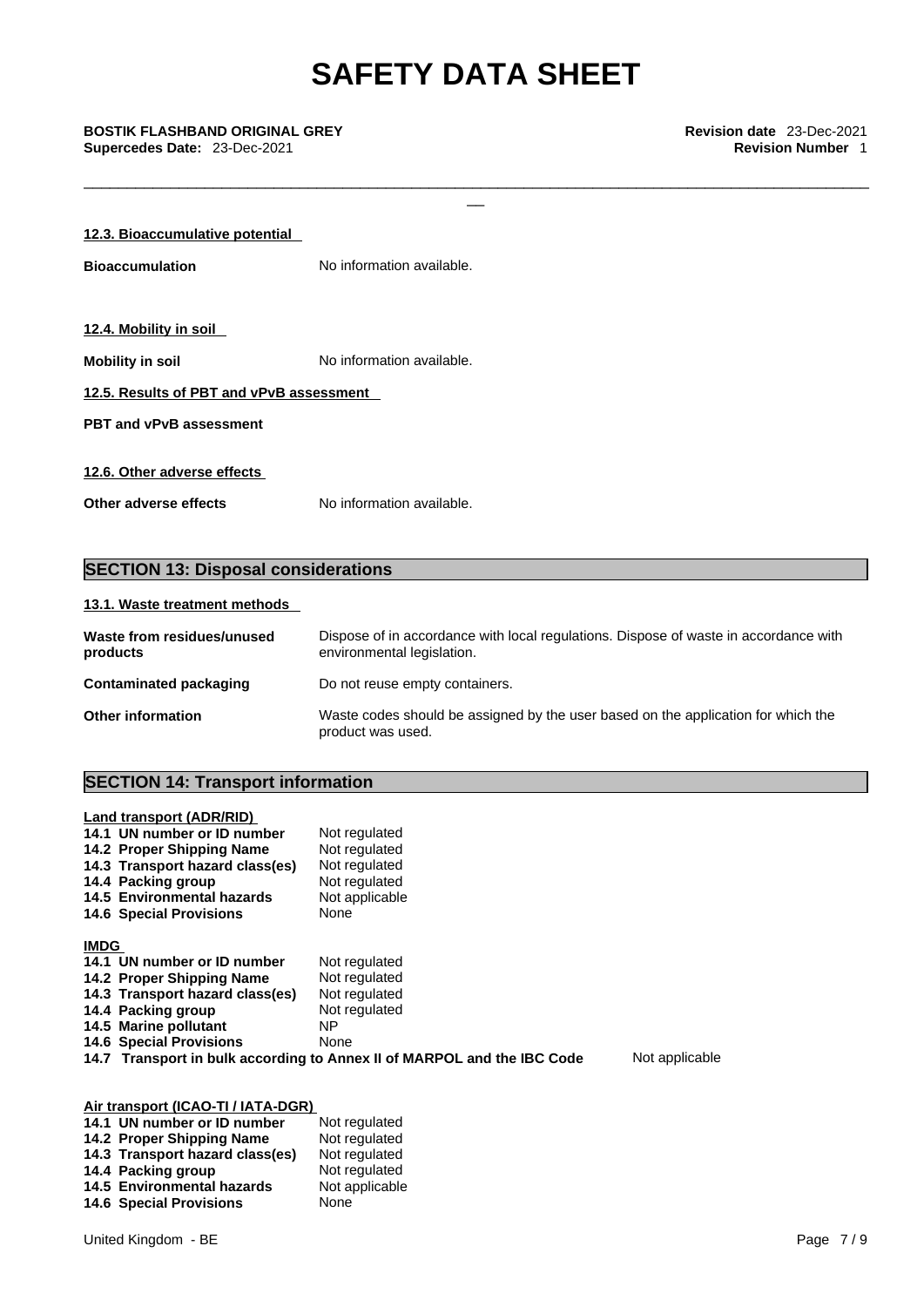\_\_\_\_\_\_\_\_\_\_\_\_\_\_\_\_\_\_\_\_\_\_\_\_\_\_\_\_\_\_\_\_\_\_\_\_\_\_\_\_\_\_\_\_\_\_\_\_\_\_\_\_\_\_\_\_\_\_\_\_\_\_\_\_\_\_\_\_\_\_\_\_\_\_\_\_\_\_\_\_\_\_\_\_\_\_\_\_\_\_\_

# \_\_ **BOSTIK FLASHBAND ORIGINAL GREY Revision date** 23-Dec-2021 **Supercedes Date:** 23-Dec-2021 **Revision Number** 1

| 12.3. Bioaccumulative potential          |                           |  |  |
|------------------------------------------|---------------------------|--|--|
| <b>Bioaccumulation</b>                   | No information available. |  |  |
|                                          |                           |  |  |
| 12.4. Mobility in soil                   |                           |  |  |
| <b>Mobility in soil</b>                  | No information available. |  |  |
| 12.5. Results of PBT and vPvB assessment |                           |  |  |
| <b>PBT and vPvB assessment</b>           |                           |  |  |
|                                          |                           |  |  |
| 12.6. Other adverse effects              |                           |  |  |
| Other adverse effects                    | No information available. |  |  |

# **SECTION 13: Disposal considerations**

# **13.1. Waste treatment methods**

| Waste from residues/unused<br>products | Dispose of in accordance with local regulations. Dispose of waste in accordance with<br>environmental legislation. |
|----------------------------------------|--------------------------------------------------------------------------------------------------------------------|
| Contaminated packaging                 | Do not reuse empty containers.                                                                                     |
| <b>Other information</b>               | Waste codes should be assigned by the user based on the application for which the<br>product was used.             |

# **SECTION 14: Transport information**

| Land transport (ADR/RID)<br>14.1 UN number or ID number<br>14.2 Proper Shipping Name<br>14.3 Transport hazard class(es)<br>14.4 Packing group<br>14.5 Environmental hazards<br><b>14.6 Special Provisions</b> | Not regulated<br>Not regulated<br>Not regulated<br>Not regulated<br>Not applicable<br>None |                |
|---------------------------------------------------------------------------------------------------------------------------------------------------------------------------------------------------------------|--------------------------------------------------------------------------------------------|----------------|
| <b>IMDG</b>                                                                                                                                                                                                   |                                                                                            |                |
| 14.1 UN number or ID number                                                                                                                                                                                   | Not regulated                                                                              |                |
| 14.2 Proper Shipping Name                                                                                                                                                                                     | Not regulated                                                                              |                |
| 14.3 Transport hazard class(es)                                                                                                                                                                               | Not regulated                                                                              |                |
| 14.4 Packing group                                                                                                                                                                                            | Not regulated                                                                              |                |
| 14.5 Marine pollutant                                                                                                                                                                                         | ΝP                                                                                         |                |
| <b>14.6 Special Provisions</b>                                                                                                                                                                                | None                                                                                       |                |
|                                                                                                                                                                                                               | 14.7 Transport in bulk according to Annex II of MARPOL and the IBC Code                    | Not applicable |

# **Air transport (ICAO-TI / IATA-DGR)**

| 14.1 UN number or ID number     | Not regulated  |
|---------------------------------|----------------|
| 14.2 Proper Shipping Name       | Not regulated  |
| 14.3 Transport hazard class(es) | Not regulated  |
| 14.4 Packing group              | Not regulated  |
| 14.5 Environmental hazards      | Not applicable |
| <b>14.6 Special Provisions</b>  | None           |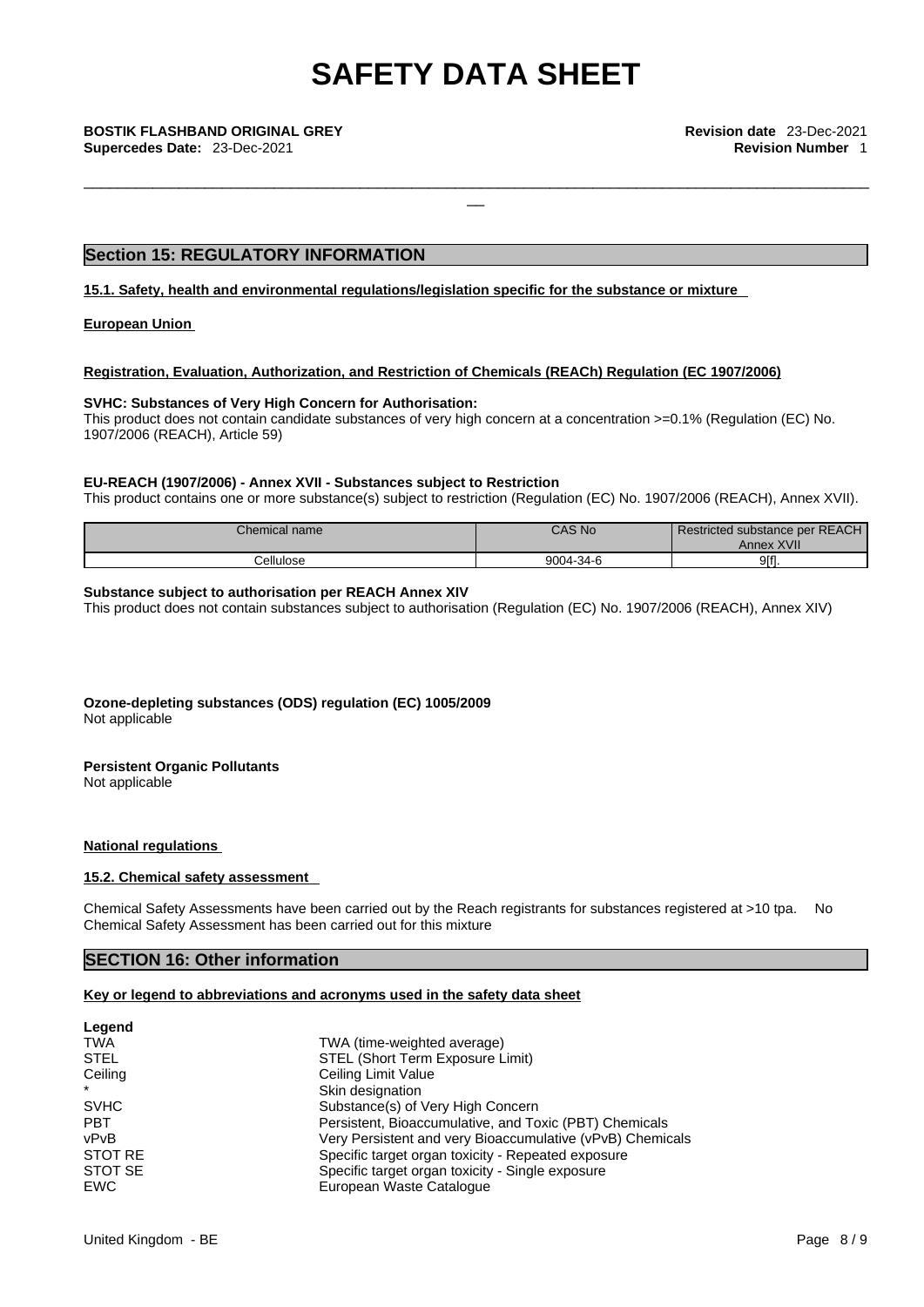\_\_\_\_\_\_\_\_\_\_\_\_\_\_\_\_\_\_\_\_\_\_\_\_\_\_\_\_\_\_\_\_\_\_\_\_\_\_\_\_\_\_\_\_\_\_\_\_\_\_\_\_\_\_\_\_\_\_\_\_\_\_\_\_\_\_\_\_\_\_\_\_\_\_\_\_\_\_\_\_\_\_\_\_\_\_\_\_\_\_\_

\_\_ **BOSTIK FLASHBAND ORIGINAL GREY Revision date** 23-Dec-2021 **Supercedes Date:** 23-Dec-2021 **Revision Number** 1

# **Section 15: REGULATORY INFORMATION**

**15.1. Safety, health and environmental regulations/legislation specific for the substance or mixture**

**European Union** 

## **Registration, Evaluation, Authorization, and Restriction of Chemicals (REACh) Regulation (EC 1907/2006)**

# **SVHC: Substances of Very High Concern for Authorisation:**

This product does not contain candidate substances of very high concern at a concentration >=0.1% (Regulation (EC) No. 1907/2006 (REACH), Article 59)

# **EU-REACH (1907/2006) - Annex XVII - Substances subject to Restriction**

This product contains one or more substance(s) subject to restriction (Regulation (EC) No. 1907/2006 (REACH), Annex XVII).

| Chemical name | <b>CAS No.</b> | Restricted substance per REACH<br><b>Annex XVII</b> |
|---------------|----------------|-----------------------------------------------------|
| `ellulose     | 9004-34-6      | 9ff1.                                               |

## **Substance subject to authorisation per REACH Annex XIV**

This product does not contain substances subject to authorisation (Regulation (EC) No. 1907/2006 (REACH), Annex XIV)

**Ozone-depleting substances (ODS) regulation (EC) 1005/2009**

Not applicable

## **Persistent Organic Pollutants**

Not applicable

# **National regulations**

### **15.2. Chemical safety assessment**

Chemical Safety Assessments have been carried out by the Reach registrants for substances registered at >10 tpa. No Chemical Safety Assessment has been carried out for this mixture

# **SECTION 16: Other information**

# **Key or legend to abbreviations and acronyms used in the safety data sheet**

| Legend      |                                                           |  |
|-------------|-----------------------------------------------------------|--|
| <b>TWA</b>  | TWA (time-weighted average)                               |  |
| <b>STEL</b> | STEL (Short Term Exposure Limit)                          |  |
| Ceiling     | Ceiling Limit Value                                       |  |
| $\star$     | Skin designation                                          |  |
| <b>SVHC</b> | Substance(s) of Very High Concern                         |  |
| <b>PBT</b>  | Persistent, Bioaccumulative, and Toxic (PBT) Chemicals    |  |
| vPvB        | Very Persistent and very Bioaccumulative (vPvB) Chemicals |  |
| STOT RE     | Specific target organ toxicity - Repeated exposure        |  |
| STOT SE     | Specific target organ toxicity - Single exposure          |  |
| EWC         | European Waste Catalogue                                  |  |